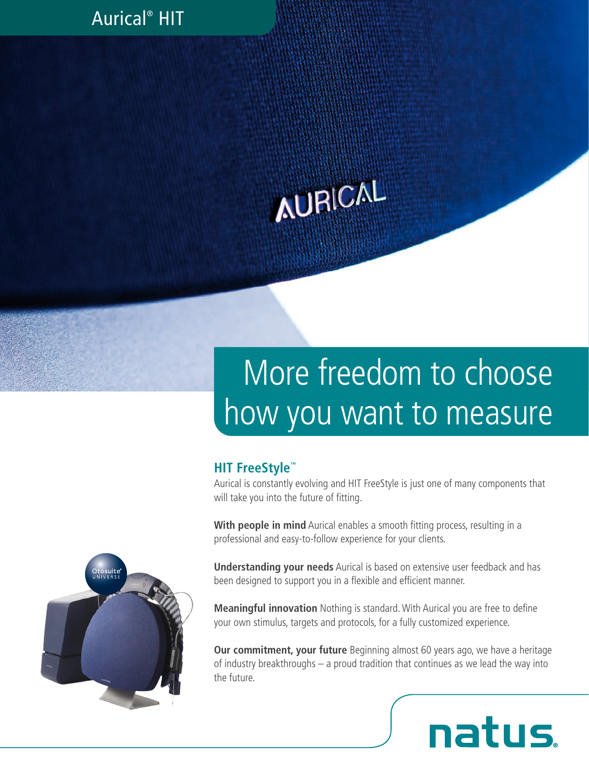### Aurical® HIT

# **AURICAL**

## More freedom to choose how you want to measure

#### **HIT FreeStyle™**

Aurical is constantly evolving and HIT FreeStyle is just one of many components that will take you into the future of fitting.

**With people in mind** Aurical enables a smooth fitting process, resulting in a professional and easy-to-follow experience for your clients.

**Understanding your needs** Aurical is based on extensive user feedback and has been designed to support you in a flexible and efficient manner.

**Meaningful innovation** Nothing is standard. With Aurical you are free to define your own stimulus, targets and protocols, for a fully customized experience.

**Our commitment, your future** Beginning almost 60 years ago, we have a heritage of industry breakthroughs – a proud tradition that continues as we lead the way into the future.